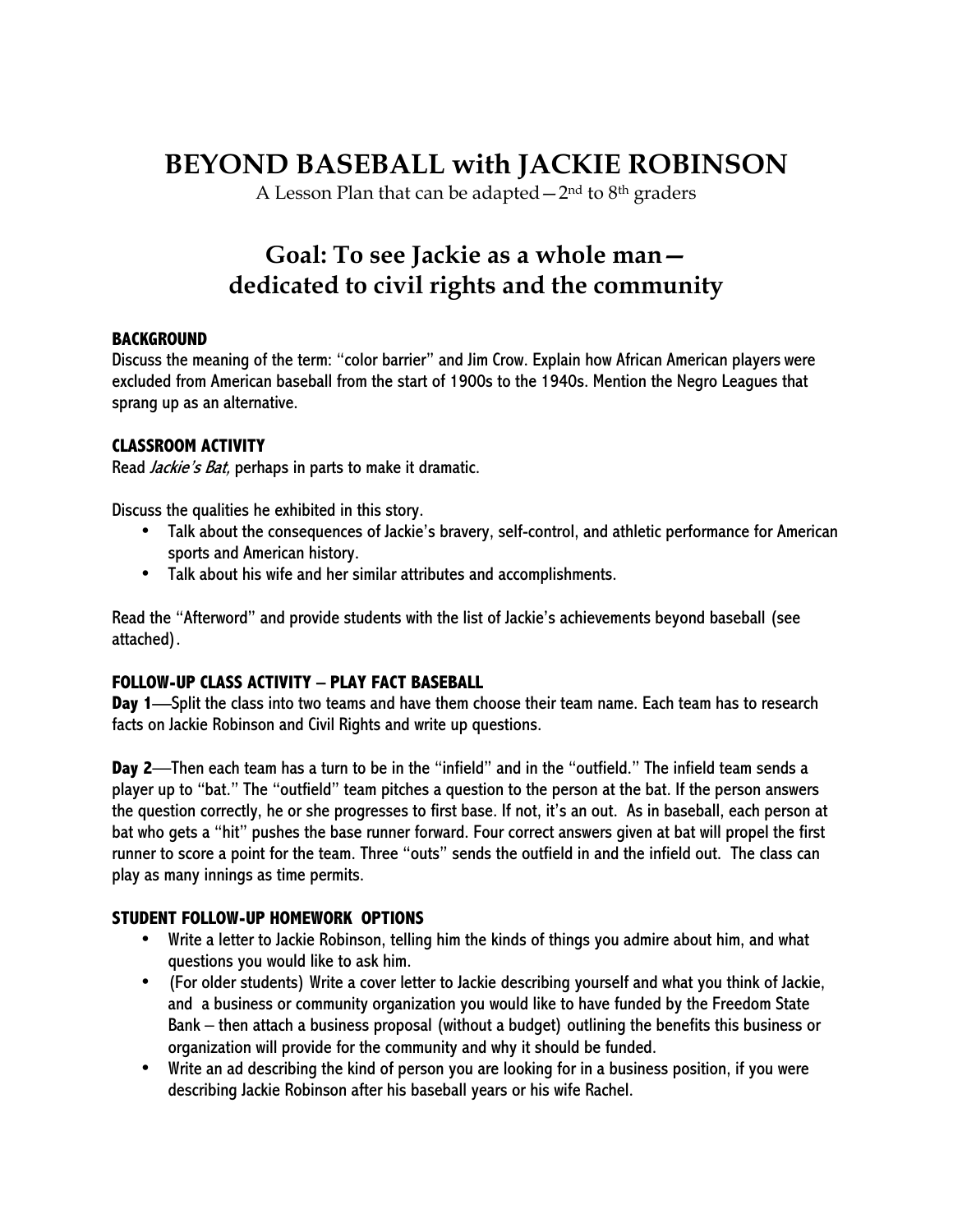## **BEYOND BASEBALL with JACKIE ROBINSON**

A Lesson Plan that can be adapted  $-2<sup>nd</sup>$  to  $8<sup>th</sup>$  graders

### **Goal: To see Jackie as a whole man dedicated to civil rights and the community**

#### **BACKGROUND**

Discuss the meaning of the term: "color barrier" and Jim Crow. Explain how African American players were excluded from American baseball from the start of 1900s to the 1940s. Mention the Negro Leagues that sprang up as an alternative.

#### **CLASSROOM ACTIVITY**

Read *Jackie's Bat*, perhaps in parts to make it dramatic.

Discuss the qualities he exhibited in this story.

- Talk about the consequences of Jackie's bravery, self-control, and athletic performance for American sports and American history.
- Talk about his wife and her similar attributes and accomplishments.

Read the "Afterword" and provide students with the list of Jackie's achievements beyond baseball (see attached).

#### **FOLLOW-UP CLASS ACTIVITY – PLAY FACT BASEBALL**

**Day 1**—Split the class into two teams and have them choose their team name. Each team has to research facts on Jackie Robinson and Civil Rights and write up questions.

**Day 2**—Then each team has a turn to be in the "infield" and in the "outfield." The infield team sends a player up to "bat." The "outfield" team pitches a question to the person at the bat. If the person answers the question correctly, he or she progresses to first base. If not, it's an out. As in baseball, each person at bat who gets a "hit" pushes the base runner forward. Four correct answers given at bat will propel the first runner to score a point for the team. Three "outs" sends the outfield in and the infield out. The class can play as many innings as time permits.

#### **STUDENT FOLLOW-UP HOMEWORK OPTIONS**

- Write a letter to Jackie Robinson, telling him the kinds of things you admire about him, and what questions you would like to ask him.
- (For older students) Write a cover letter to Jackie describing yourself and what you think of Jackie, and a business or community organization you would like to have funded by the Freedom State Bank – then attach a business proposal (without a budget) outlining the benefits this business or organization will provide for the community and why it should be funded.
- Write an ad describing the kind of person you are looking for in a business position, if you were describing Jackie Robinson after his baseball years or his wife Rachel.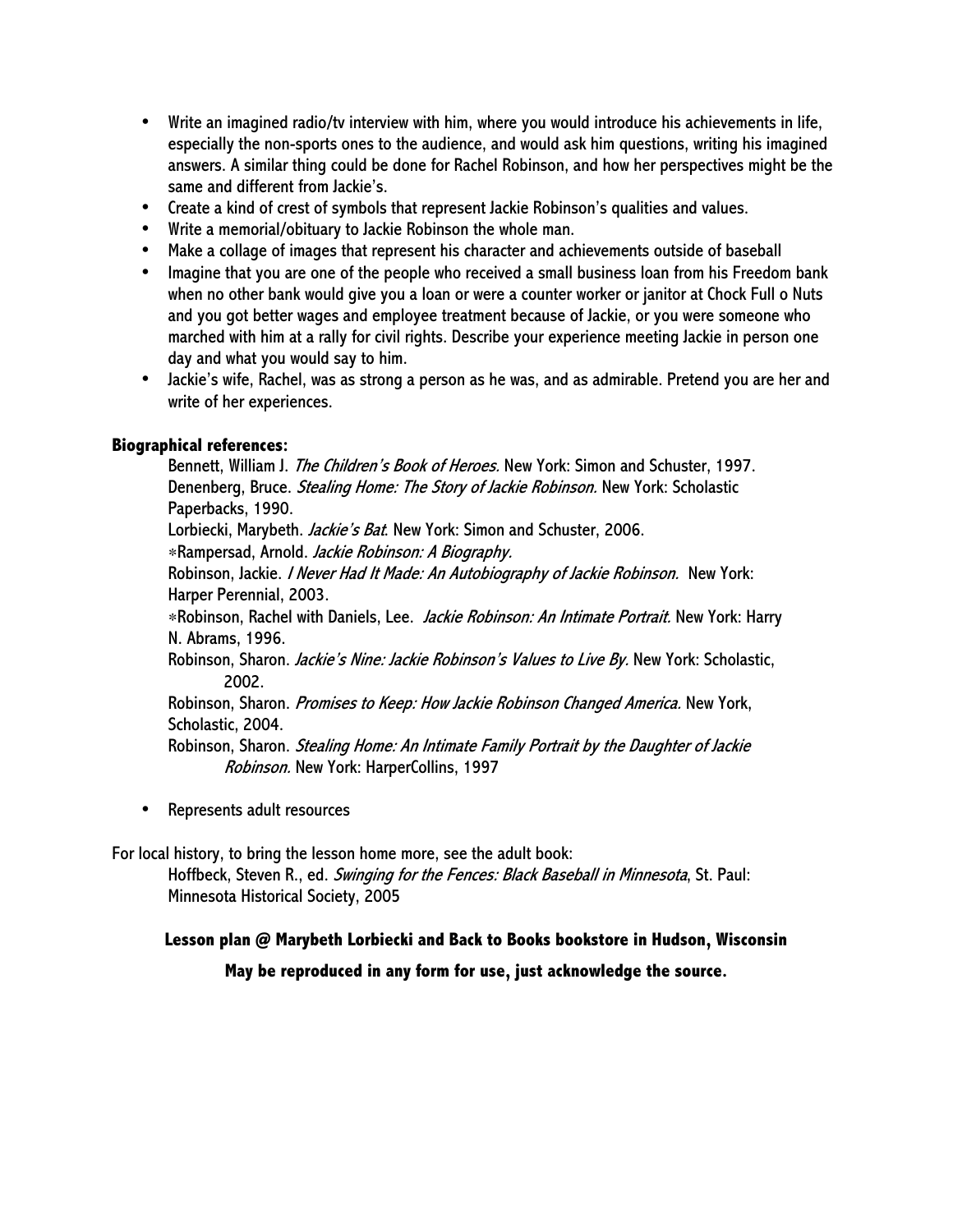- Write an imagined radio/tv interview with him, where you would introduce his achievements in life, especially the non-sports ones to the audience, and would ask him questions, writing his imagined answers. A similar thing could be done for Rachel Robinson, and how her perspectives might be the same and different from Jackie's.
- Create a kind of crest of symbols that represent Jackie Robinson's qualities and values.
- Write a memorial/obituary to Jackie Robinson the whole man.
- Make a collage of images that represent his character and achievements outside of baseball
- Imagine that you are one of the people who received a small business loan from his Freedom bank when no other bank would give you a loan or were a counter worker or janitor at Chock Full o Nuts and you got better wages and employee treatment because of Jackie, or you were someone who marched with him at a rally for civil rights. Describe your experience meeting Jackie in person one day and what you would say to him.
- Jackie's wife, Rachel, was as strong a person as he was, and as admirable. Pretend you are her and write of her experiences.

#### **Biographical references:**

Bennett, William J. *The Children's Book of Heroes.* New York: Simon and Schuster, 1997. Denenberg, Bruce. Stealing Home: The Story of Jackie Robinson. New York: Scholastic Paperbacks, 1990.

Lorbiecki, Marybeth. Jackie's Bat. New York: Simon and Schuster, 2006.

∗Rampersad, Arnold. Jackie Robinson: A Biography.

Robinson, Jackie. *I Never Had It Made: An Autobiography of Jackie Robinson.* New York: Harper Perennial, 2003.

∗Robinson, Rachel with Daniels, Lee. Jackie Robinson: An Intimate Portrait. New York: Harry N. Abrams, 1996.

Robinson, Sharon. Jackie's Nine: Jackie Robinson's Values to Live By. New York: Scholastic, 2002.

Robinson, Sharon. Promises to Keep: How Jackie Robinson Changed America. New York, Scholastic, 2004.

Robinson, Sharon. *Stealing Home: An Intimate Family Portrait by the Daughter of Jackie* Robinson. New York: HarperCollins, 1997

• Represents adult resources

For local history, to bring the lesson home more, see the adult book:

Hoffbeck, Steven R., ed. Swinging for the Fences: Black Baseball in Minnesota, St. Paul: Minnesota Historical Society, 2005

#### **Lesson plan @ Marybeth Lorbiecki and Back to Books bookstore in Hudson, Wisconsin**

**May be reproduced in any form for use, just acknowledge the source.**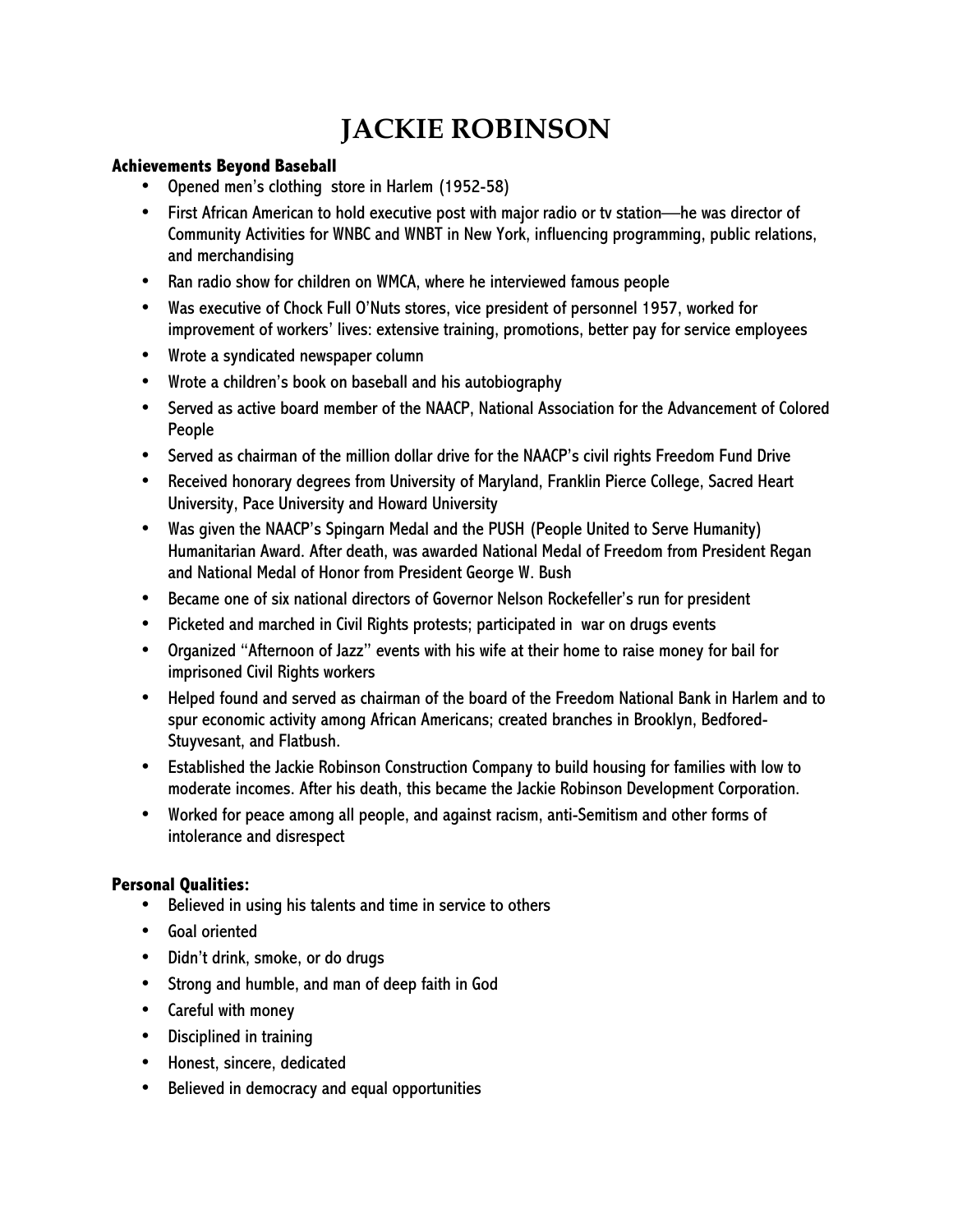# **JACKIE ROBINSON**

#### **Achievements Beyond Baseball**

- Opened men's clothing store in Harlem (1952-58)
- First African American to hold executive post with major radio or tv station—he was director of Community Activities for WNBC and WNBT in New York, influencing programming, public relations, and merchandising
- Ran radio show for children on WMCA, where he interviewed famous people
- Was executive of Chock Full O'Nuts stores, vice president of personnel 1957, worked for improvement of workers' lives: extensive training, promotions, better pay for service employees
- Wrote a syndicated newspaper column
- Wrote a children's book on baseball and his autobiography
- Served as active board member of the NAACP, National Association for the Advancement of Colored People
- Served as chairman of the million dollar drive for the NAACP's civil rights Freedom Fund Drive
- Received honorary degrees from University of Maryland, Franklin Pierce College, Sacred Heart University, Pace University and Howard University
- Was given the NAACP's Spingarn Medal and the PUSH (People United to Serve Humanity) Humanitarian Award. After death, was awarded National Medal of Freedom from President Regan and National Medal of Honor from President George W. Bush
- Became one of six national directors of Governor Nelson Rockefeller's run for president
- Picketed and marched in Civil Rights protests; participated in war on drugs events
- Organized "Afternoon of Jazz" events with his wife at their home to raise money for bail for imprisoned Civil Rights workers
- Helped found and served as chairman of the board of the Freedom National Bank in Harlem and to spur economic activity among African Americans; created branches in Brooklyn, Bedfored-Stuyvesant, and Flatbush.
- Established the Jackie Robinson Construction Company to build housing for families with low to moderate incomes. After his death, this became the Jackie Robinson Development Corporation.
- Worked for peace among all people, and against racism, anti-Semitism and other forms of intolerance and disrespect

#### **Personal Qualities:**

- Believed in using his talents and time in service to others
- Goal oriented
- Didn't drink, smoke, or do drugs
- Strong and humble, and man of deep faith in God
- Careful with money
- Disciplined in training
- Honest, sincere, dedicated
- Believed in democracy and equal opportunities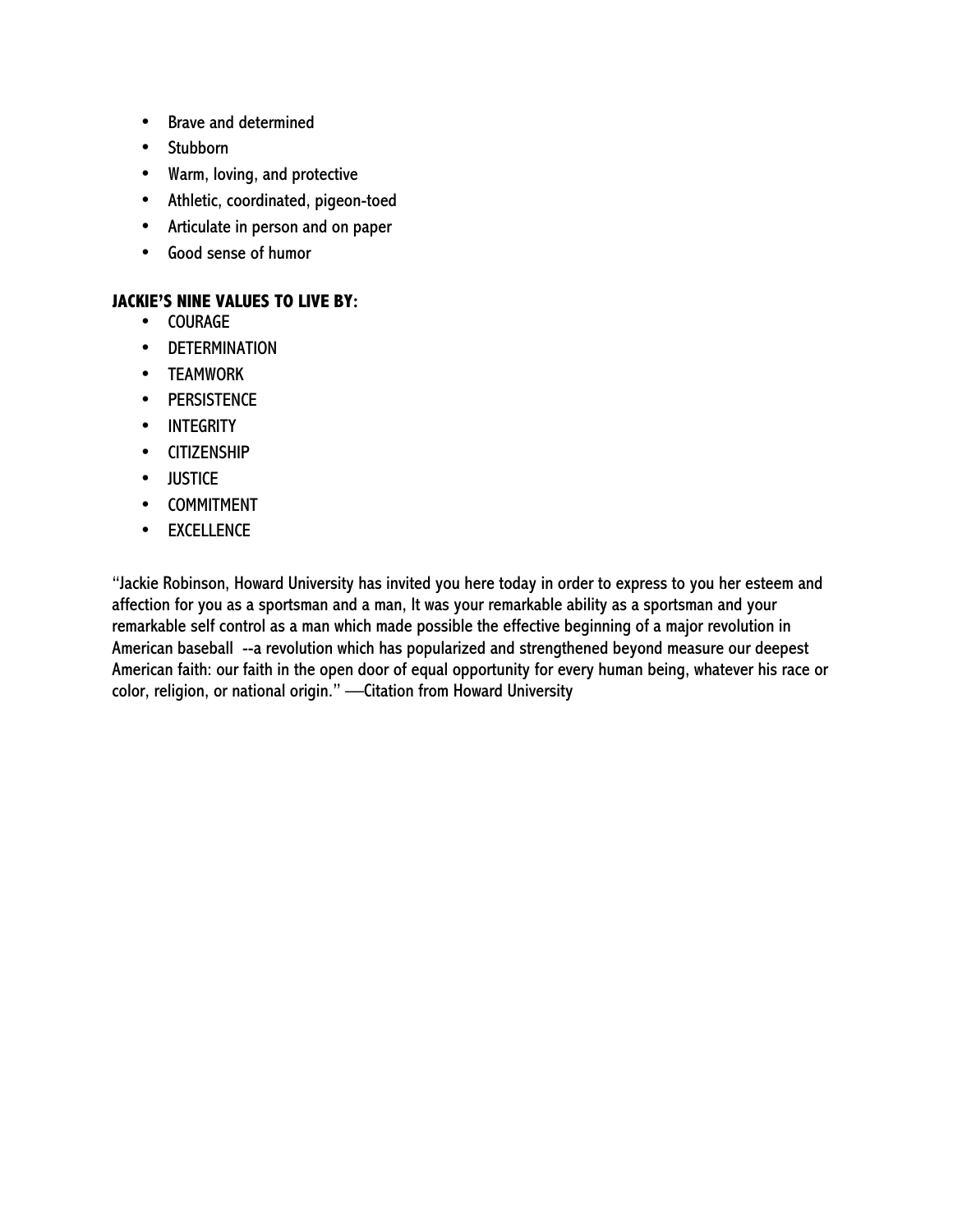- Brave and determined
- Stubborn
- Warm, loving, and protective
- Athletic, coordinated, pigeon-toed
- Articulate in person and on paper
- Good sense of humor

#### **JACKIE'S NINE VALUES TO LIVE BY:**

- COURAGE
- DETERMINATION
- TEAMWORK
- PERSISTENCE
- INTEGRITY
- CITIZENSHIP
- JUSTICE
- COMMITMENT
- EXCELLENCE

"Jackie Robinson, Howard University has invited you here today in order to express to you her esteem and affection for you as a sportsman and a man, It was your remarkable ability as a sportsman and your remarkable self control as a man which made possible the effective beginning of a major revolution in American baseball --a revolution which has popularized and strengthened beyond measure our deepest American faith: our faith in the open door of equal opportunity for every human being, whatever his race or color, religion, or national origin." —Citation from Howard University